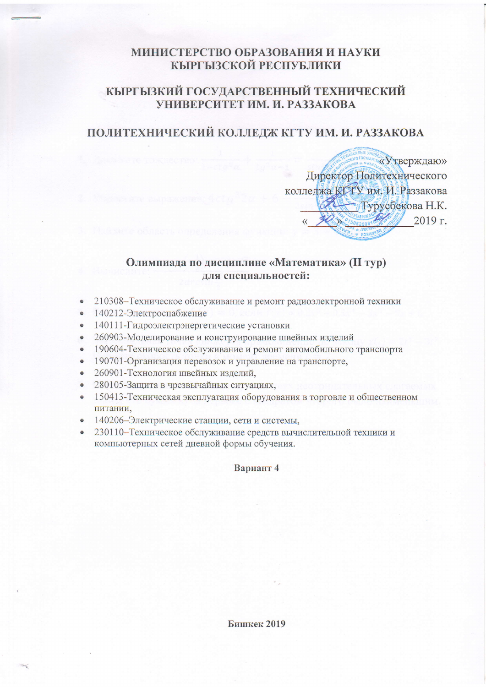# МИНИСТЕРСТВО ОБРАЗОВАНИЯ И НАУКИ КЫРГЫЗСКОЙ РЕСПУБЛИКИ

# КЫРГЫЗКИЙ ГОСУДАРСТВЕННЫЙ ТЕХНИЧЕСКИЙ УНИВЕРСИТЕТ ИМ. И. РАЗЗАКОВА

# ПОЛИТЕХНИЧЕСКИЙ КОЛЛЕДЖ КГТУ ИМ. И. РАЗЗАКОВА

«Утверждаю» Директор Политехнического колледжа КГТУ им. И. Раззакова Турусбекова Н.К.  $2019$  г.

### Олимпиада по дисциплине «Математика» (II тур) лля специальностей:

- 210308-Техническое обслуживание и ремонт радиоэлектронной техники  $\bullet$
- 140212-Электроснабжение  $\bullet$
- 140111-Гидроэлектрэнергетические установки  $\bullet$
- 260903-Моделирование и конструирование швейных изделий  $\bullet$
- 190604-Техническое обслуживание и ремонт автомобильного транспорта  $\bullet$
- 190701-Организация перевозок и управление на транспорте,
- 260901-Технология швейных изделий.  $\bullet$
- 280105-Защита в чрезвычайных ситуациях,
- 150413-Техническая эксплуатация оборудования в торговле и общественном питании,
- 140206–Электрические станции, сети и системы,
- 230110-Техническое обслуживание средств вычислительной техники и компьютерных сетей дневной формы обучения.

#### Вариант 4